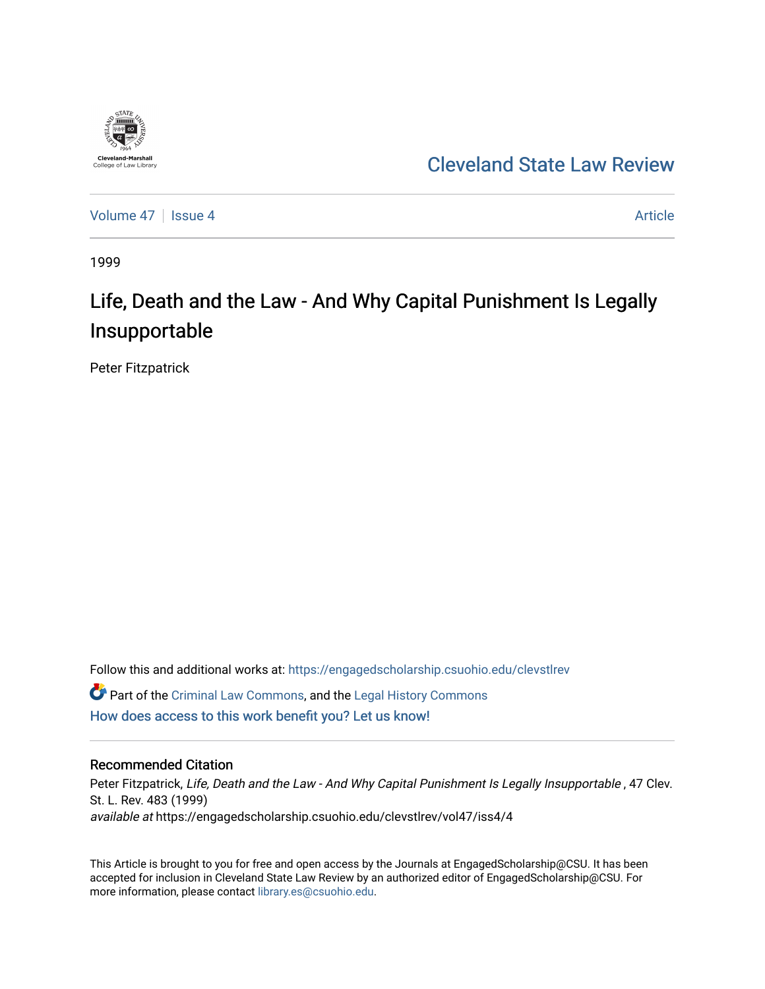

## [Cleveland State Law Review](https://engagedscholarship.csuohio.edu/clevstlrev)

[Volume 47](https://engagedscholarship.csuohio.edu/clevstlrev/vol47) Session 4 [Article](https://engagedscholarship.csuohio.edu/clevstlrev/vol47/iss4/4) 3 Article

1999

# Life, Death and the Law - And Why Capital Punishment Is Legally Insupportable

Peter Fitzpatrick

Follow this and additional works at: [https://engagedscholarship.csuohio.edu/clevstlrev](https://engagedscholarship.csuohio.edu/clevstlrev?utm_source=engagedscholarship.csuohio.edu%2Fclevstlrev%2Fvol47%2Fiss4%2F4&utm_medium=PDF&utm_campaign=PDFCoverPages) **C** Part of the [Criminal Law Commons,](http://network.bepress.com/hgg/discipline/912?utm_source=engagedscholarship.csuohio.edu%2Fclevstlrev%2Fvol47%2Fiss4%2F4&utm_medium=PDF&utm_campaign=PDFCoverPages) and the Legal History Commons [How does access to this work benefit you? Let us know!](http://library.csuohio.edu/engaged/)

#### Recommended Citation

Peter Fitzpatrick, Life, Death and the Law - And Why Capital Punishment Is Legally Insupportable, 47 Clev. St. L. Rev. 483 (1999) available at https://engagedscholarship.csuohio.edu/clevstlrev/vol47/iss4/4

This Article is brought to you for free and open access by the Journals at EngagedScholarship@CSU. It has been accepted for inclusion in Cleveland State Law Review by an authorized editor of EngagedScholarship@CSU. For more information, please contact [library.es@csuohio.edu](mailto:library.es@csuohio.edu).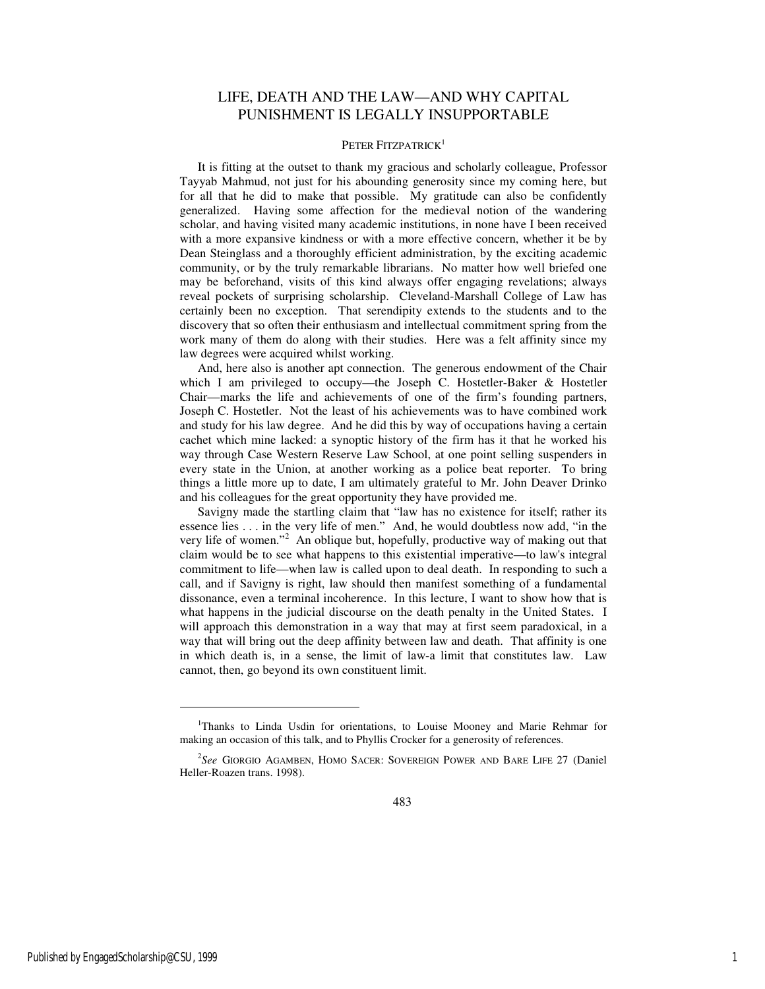### LIFE, DEATH AND THE LAW—AND WHY CAPITAL PUNISHMENT IS LEGALLY INSUPPORTABLE

#### PETER FITZPATRICK<sup>1</sup>

It is fitting at the outset to thank my gracious and scholarly colleague, Professor Tayyab Mahmud, not just for his abounding generosity since my coming here, but for all that he did to make that possible. My gratitude can also be confidently generalized. Having some affection for the medieval notion of the wandering scholar, and having visited many academic institutions, in none have I been received with a more expansive kindness or with a more effective concern, whether it be by Dean Steinglass and a thoroughly efficient administration, by the exciting academic community, or by the truly remarkable librarians. No matter how well briefed one may be beforehand, visits of this kind always offer engaging revelations; always reveal pockets of surprising scholarship. Cleveland-Marshall College of Law has certainly been no exception. That serendipity extends to the students and to the discovery that so often their enthusiasm and intellectual commitment spring from the work many of them do along with their studies. Here was a felt affinity since my law degrees were acquired whilst working.

And, here also is another apt connection. The generous endowment of the Chair which I am privileged to occupy—the Joseph C. Hostetler-Baker & Hostetler Chair—marks the life and achievements of one of the firm's founding partners, Joseph C. Hostetler. Not the least of his achievements was to have combined work and study for his law degree. And he did this by way of occupations having a certain cachet which mine lacked: a synoptic history of the firm has it that he worked his way through Case Western Reserve Law School, at one point selling suspenders in every state in the Union, at another working as a police beat reporter. To bring things a little more up to date, I am ultimately grateful to Mr. John Deaver Drinko and his colleagues for the great opportunity they have provided me.

Savigny made the startling claim that "law has no existence for itself; rather its essence lies . . . in the very life of men." And, he would doubtless now add, "in the very life of women."<sup>2</sup> An oblique but, hopefully, productive way of making out that claim would be to see what happens to this existential imperative—to law's integral commitment to life—when law is called upon to deal death. In responding to such a call, and if Savigny is right, law should then manifest something of a fundamental dissonance, even a terminal incoherence. In this lecture, I want to show how that is what happens in the judicial discourse on the death penalty in the United States. I will approach this demonstration in a way that may at first seem paradoxical, in a way that will bring out the deep affinity between law and death. That affinity is one in which death is, in a sense, the limit of law-a limit that constitutes law. Law cannot, then, go beyond its own constituent limit.

1

<sup>&</sup>lt;sup>1</sup>Thanks to Linda Usdin for orientations, to Louise Mooney and Marie Rehmar for making an occasion of this talk, and to Phyllis Crocker for a generosity of references.

<sup>2</sup> *See* GIORGIO AGAMBEN, HOMO SACER: SOVEREIGN POWER AND BARE LIFE 27 (Daniel Heller-Roazen trans. 1998).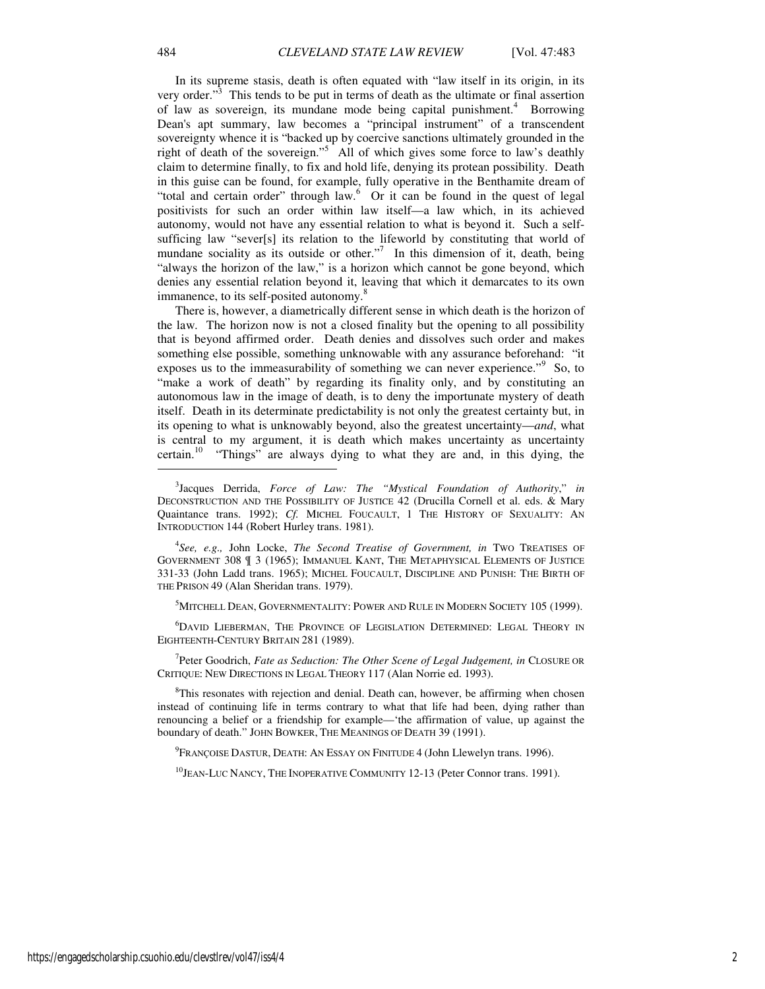In its supreme stasis, death is often equated with "law itself in its origin, in its very order."<sup>3</sup> This tends to be put in terms of death as the ultimate or final assertion of law as sovereign, its mundane mode being capital punishment.<sup>4</sup> Borrowing Dean's apt summary, law becomes a "principal instrument" of a transcendent sovereignty whence it is "backed up by coercive sanctions ultimately grounded in the right of death of the sovereign."<sup>5</sup> All of which gives some force to law's deathly claim to determine finally, to fix and hold life, denying its protean possibility. Death in this guise can be found, for example, fully operative in the Benthamite dream of "total and certain order" through law.<sup>6</sup> Or it can be found in the quest of legal positivists for such an order within law itself—a law which, in its achieved autonomy, would not have any essential relation to what is beyond it. Such a selfsufficing law "sever[s] its relation to the lifeworld by constituting that world of mundane sociality as its outside or other."<sup>7</sup> In this dimension of it, death, being "always the horizon of the law," is a horizon which cannot be gone beyond, which denies any essential relation beyond it, leaving that which it demarcates to its own immanence, to its self-posited autonomy.<sup>8</sup>

There is, however, a diametrically different sense in which death is the horizon of the law. The horizon now is not a closed finality but the opening to all possibility that is beyond affirmed order. Death denies and dissolves such order and makes something else possible, something unknowable with any assurance beforehand: "it exposes us to the immeasurability of something we can never experience."<sup>9</sup> So, to "make a work of death" by regarding its finality only, and by constituting an autonomous law in the image of death, is to deny the importunate mystery of death itself. Death in its determinate predictability is not only the greatest certainty but, in its opening to what is unknowably beyond, also the greatest uncertainty—*and*, what is central to my argument, it is death which makes uncertainty as uncertainty certain.<sup>10</sup> "Things" are always dying to what they are and, in this dying, the

3 Jacques Derrida, *Force of Law: The "Mystical Foundation of Authority*," *in* DECONSTRUCTION AND THE POSSIBILITY OF JUSTICE 42 (Drucilla Cornell et al. eds. & Mary Quaintance trans. 1992); *Cf.* MICHEL FOUCAULT, 1 THE HISTORY OF SEXUALITY: AN INTRODUCTION 144 (Robert Hurley trans. 1981).

4 *See, e.g.,* John Locke, *The Second Treatise of Government, in* TWO TREATISES OF GOVERNMENT 308 ¶ 3 (1965); IMMANUEL KANT, THE METAPHYSICAL ELEMENTS OF JUSTICE 331-33 (John Ladd trans. 1965); MICHEL FOUCAULT, DISCIPLINE AND PUNISH: THE BIRTH OF THE PRISON 49 (Alan Sheridan trans. 1979).

<sup>5</sup>MITCHELL DEAN, GOVERNMENTALITY: POWER AND RULE IN MODERN SOCIETY 105 (1999).

<sup>6</sup>DAVID LIEBERMAN, THE PROVINCE OF LEGISLATION DETERMINED: LEGAL THEORY IN EIGHTEENTH-CENTURY BRITAIN 281 (1989).

<sup>7</sup>Peter Goodrich, *Fate as Seduction: The Other Scene of Legal Judgement, in CLOSURE OR* CRITIQUE: NEW DIRECTIONS IN LEGAL THEORY 117 (Alan Norrie ed. 1993).

<sup>8</sup>This resonates with rejection and denial. Death can, however, be affirming when chosen instead of continuing life in terms contrary to what that life had been, dying rather than renouncing a belief or a friendship for example—'the affirmation of value, up against the boundary of death." JOHN BOWKER, THE MEANINGS OF DEATH 39 (1991).

<sup>9</sup>Françoise Dastur, Death: An Essay on Finitude 4 (John Llewelyn trans. 1996).

<sup>10</sup>JEAN-LUC NANCY, THE INOPERATIVE COMMUNITY 12-13 (Peter Connor trans. 1991).

 $\overline{a}$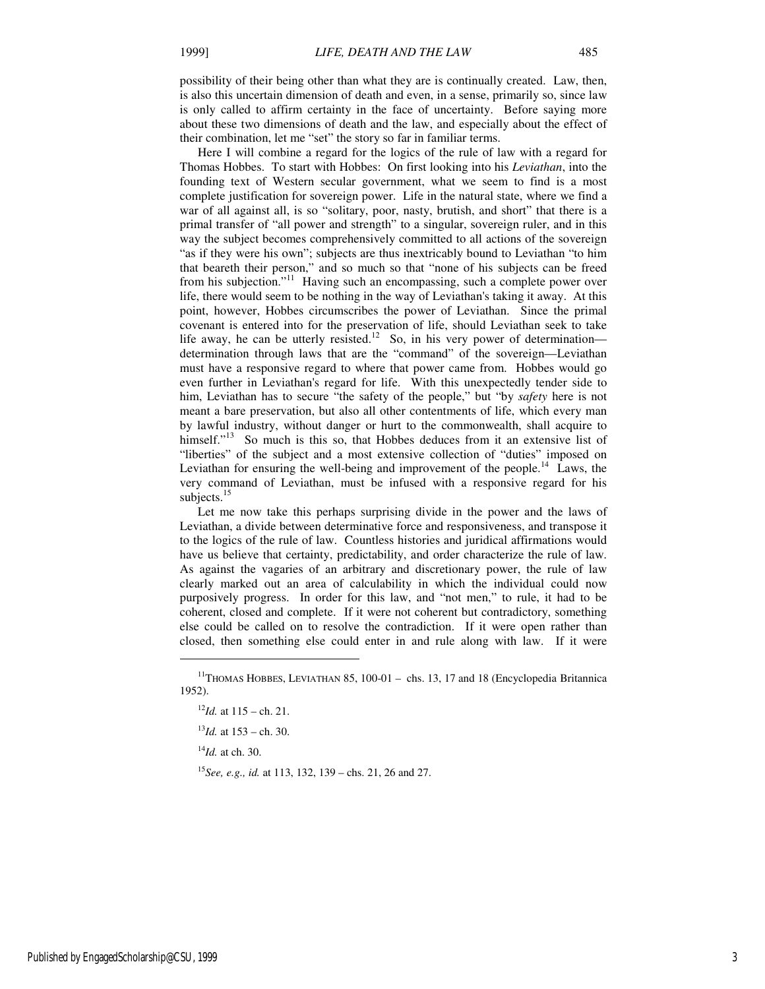possibility of their being other than what they are is continually created. Law, then, is also this uncertain dimension of death and even, in a sense, primarily so, since law is only called to affirm certainty in the face of uncertainty. Before saying more about these two dimensions of death and the law, and especially about the effect of their combination, let me "set" the story so far in familiar terms.

Here I will combine a regard for the logics of the rule of law with a regard for Thomas Hobbes. To start with Hobbes: On first looking into his *Leviathan*, into the founding text of Western secular government, what we seem to find is a most complete justification for sovereign power. Life in the natural state, where we find a war of all against all, is so "solitary, poor, nasty, brutish, and short" that there is a primal transfer of "all power and strength" to a singular, sovereign ruler, and in this way the subject becomes comprehensively committed to all actions of the sovereign "as if they were his own"; subjects are thus inextricably bound to Leviathan "to him that beareth their person," and so much so that "none of his subjects can be freed from his subjection."<sup>11</sup> Having such an encompassing, such a complete power over life, there would seem to be nothing in the way of Leviathan's taking it away. At this point, however, Hobbes circumscribes the power of Leviathan. Since the primal covenant is entered into for the preservation of life, should Leviathan seek to take life away, he can be utterly resisted.<sup>12</sup> So, in his very power of determination determination through laws that are the "command" of the sovereign—Leviathan must have a responsive regard to where that power came from. Hobbes would go even further in Leviathan's regard for life. With this unexpectedly tender side to him, Leviathan has to secure "the safety of the people," but "by *safety* here is not meant a bare preservation, but also all other contentments of life, which every man by lawful industry, without danger or hurt to the commonwealth, shall acquire to himself."<sup>13</sup> So much is this so, that Hobbes deduces from it an extensive list of "liberties" of the subject and a most extensive collection of "duties" imposed on Leviathan for ensuring the well-being and improvement of the people.<sup>14</sup> Laws, the very command of Leviathan, must be infused with a responsive regard for his subjects.<sup>15</sup>

Let me now take this perhaps surprising divide in the power and the laws of Leviathan, a divide between determinative force and responsiveness, and transpose it to the logics of the rule of law. Countless histories and juridical affirmations would have us believe that certainty, predictability, and order characterize the rule of law. As against the vagaries of an arbitrary and discretionary power, the rule of law clearly marked out an area of calculability in which the individual could now purposively progress. In order for this law, and "not men," to rule, it had to be coherent, closed and complete. If it were not coherent but contradictory, something else could be called on to resolve the contradiction. If it were open rather than closed, then something else could enter in and rule along with law. If it were

 $^{13}$ *Id.* at 153 – ch. 30.

<sup>14</sup>*Id.* at ch. 30.

j

<sup>15</sup>*See, e.g., id.* at 113, 132, 139 – chs. 21, 26 and 27.

<sup>&</sup>lt;sup>11</sup>THOMAS HOBBES, LEVIATHAN 85, 100-01 - chs. 13, 17 and 18 (Encyclopedia Britannica 1952).

 $^{12}$ *Id.* at 115 – ch. 21.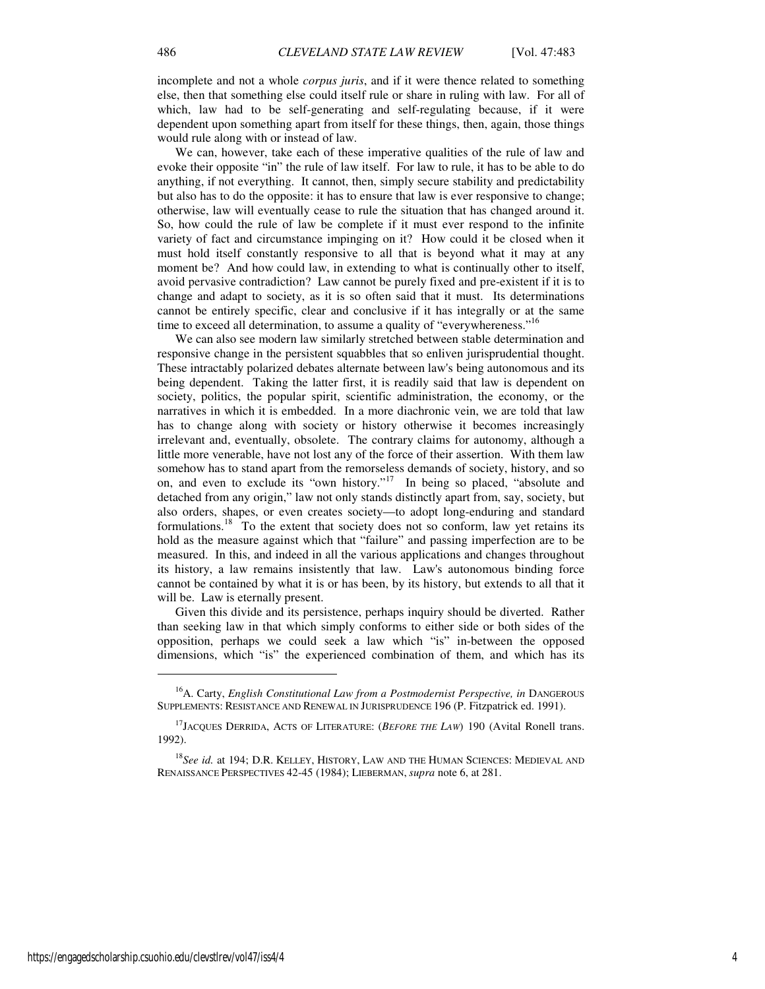incomplete and not a whole *corpus juris*, and if it were thence related to something else, then that something else could itself rule or share in ruling with law. For all of which, law had to be self-generating and self-regulating because, if it were dependent upon something apart from itself for these things, then, again, those things would rule along with or instead of law.

We can, however, take each of these imperative qualities of the rule of law and evoke their opposite "in" the rule of law itself. For law to rule, it has to be able to do anything, if not everything. It cannot, then, simply secure stability and predictability but also has to do the opposite: it has to ensure that law is ever responsive to change; otherwise, law will eventually cease to rule the situation that has changed around it. So, how could the rule of law be complete if it must ever respond to the infinite variety of fact and circumstance impinging on it? How could it be closed when it must hold itself constantly responsive to all that is beyond what it may at any moment be? And how could law, in extending to what is continually other to itself, avoid pervasive contradiction? Law cannot be purely fixed and pre-existent if it is to change and adapt to society, as it is so often said that it must. Its determinations cannot be entirely specific, clear and conclusive if it has integrally or at the same time to exceed all determination, to assume a quality of "everywhereness."<sup>16</sup>

We can also see modern law similarly stretched between stable determination and responsive change in the persistent squabbles that so enliven jurisprudential thought. These intractably polarized debates alternate between law's being autonomous and its being dependent. Taking the latter first, it is readily said that law is dependent on society, politics, the popular spirit, scientific administration, the economy, or the narratives in which it is embedded. In a more diachronic vein, we are told that law has to change along with society or history otherwise it becomes increasingly irrelevant and, eventually, obsolete. The contrary claims for autonomy, although a little more venerable, have not lost any of the force of their assertion. With them law somehow has to stand apart from the remorseless demands of society, history, and so on, and even to exclude its "own history."<sup>17</sup> In being so placed, "absolute and detached from any origin," law not only stands distinctly apart from, say, society, but also orders, shapes, or even creates society—to adopt long-enduring and standard formulations.<sup>18</sup> To the extent that society does not so conform, law yet retains its hold as the measure against which that "failure" and passing imperfection are to be measured. In this, and indeed in all the various applications and changes throughout its history, a law remains insistently that law. Law's autonomous binding force cannot be contained by what it is or has been, by its history, but extends to all that it will be. Law is eternally present.

Given this divide and its persistence, perhaps inquiry should be diverted. Rather than seeking law in that which simply conforms to either side or both sides of the opposition, perhaps we could seek a law which "is" in-between the opposed dimensions, which "is" the experienced combination of them, and which has its

<sup>16</sup>A. Carty, *English Constitutional Law from a Postmodernist Perspective, in* DANGEROUS SUPPLEMENTS: RESISTANCE AND RENEWAL IN JURISPRUDENCE 196 (P. Fitzpatrick ed. 1991).

<sup>17</sup>JACQUES DERRIDA, ACTS OF LITERATURE: (*BEFORE THE LAW*) 190 (Avital Ronell trans. 1992).

<sup>&</sup>lt;sup>18</sup>See id. at 194; D.R. KELLEY, HISTORY, LAW AND THE HUMAN SCIENCES: MEDIEVAL AND RENAISSANCE PERSPECTIVES 42-45 (1984); LIEBERMAN, *supra* note 6, at 281.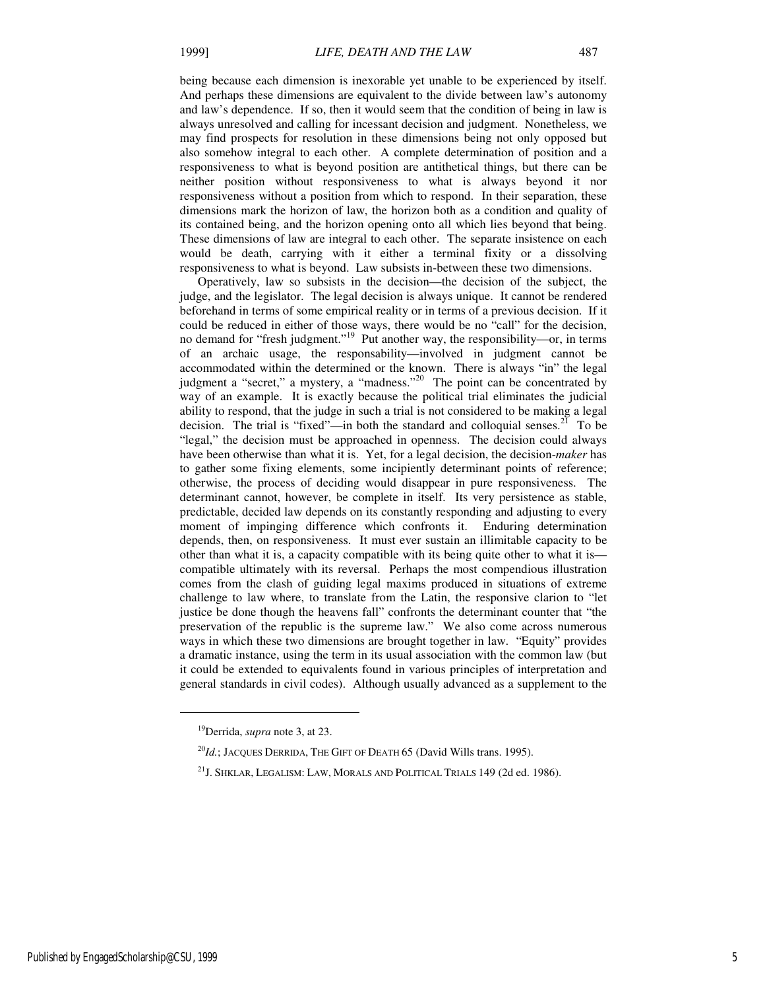being because each dimension is inexorable yet unable to be experienced by itself. And perhaps these dimensions are equivalent to the divide between law's autonomy and law's dependence. If so, then it would seem that the condition of being in law is always unresolved and calling for incessant decision and judgment. Nonetheless, we may find prospects for resolution in these dimensions being not only opposed but also somehow integral to each other. A complete determination of position and a responsiveness to what is beyond position are antithetical things, but there can be neither position without responsiveness to what is always beyond it nor responsiveness without a position from which to respond. In their separation, these dimensions mark the horizon of law, the horizon both as a condition and quality of its contained being, and the horizon opening onto all which lies beyond that being. These dimensions of law are integral to each other. The separate insistence on each would be death, carrying with it either a terminal fixity or a dissolving responsiveness to what is beyond. Law subsists in-between these two dimensions.

Operatively, law so subsists in the decision—the decision of the subject, the judge, and the legislator. The legal decision is always unique. It cannot be rendered beforehand in terms of some empirical reality or in terms of a previous decision. If it could be reduced in either of those ways, there would be no "call" for the decision, no demand for "fresh judgment."<sup>19</sup> Put another way, the responsibility—or, in terms of an archaic usage, the responsability—involved in judgment cannot be accommodated within the determined or the known. There is always "in" the legal judgment a "secret," a mystery, a "madness."<sup>20</sup> The point can be concentrated by way of an example. It is exactly because the political trial eliminates the judicial ability to respond, that the judge in such a trial is not considered to be making a legal decision. The trial is "fixed"—in both the standard and colloquial senses.<sup>21</sup> To be "legal," the decision must be approached in openness. The decision could always have been otherwise than what it is. Yet, for a legal decision, the decision-*maker* has to gather some fixing elements, some incipiently determinant points of reference; otherwise, the process of deciding would disappear in pure responsiveness. The determinant cannot, however, be complete in itself. Its very persistence as stable, predictable, decided law depends on its constantly responding and adjusting to every moment of impinging difference which confronts it. Enduring determination depends, then, on responsiveness. It must ever sustain an illimitable capacity to be other than what it is, a capacity compatible with its being quite other to what it is compatible ultimately with its reversal. Perhaps the most compendious illustration comes from the clash of guiding legal maxims produced in situations of extreme challenge to law where, to translate from the Latin, the responsive clarion to "let justice be done though the heavens fall" confronts the determinant counter that "the preservation of the republic is the supreme law." We also come across numerous ways in which these two dimensions are brought together in law. "Equity" provides a dramatic instance, using the term in its usual association with the common law (but it could be extended to equivalents found in various principles of interpretation and general standards in civil codes). Although usually advanced as a supplement to the

<sup>19</sup>Derrida, *supra* note 3, at 23.

 $^{20}Id$ .; JACQUES DERRIDA, THE GIFT OF DEATH 65 (David Wills trans. 1995).

<sup>&</sup>lt;sup>21</sup>J. Shklar, Legalism: Law, Morals and Political Trials 149 (2d ed. 1986).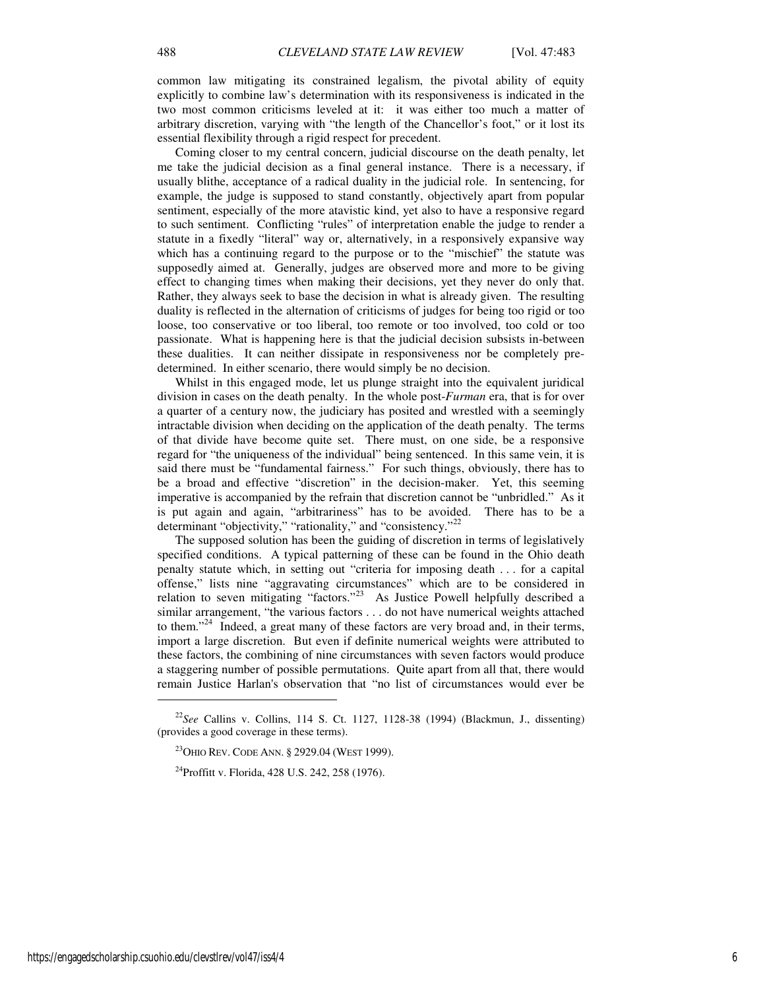common law mitigating its constrained legalism, the pivotal ability of equity explicitly to combine law's determination with its responsiveness is indicated in the two most common criticisms leveled at it: it was either too much a matter of arbitrary discretion, varying with "the length of the Chancellor's foot," or it lost its essential flexibility through a rigid respect for precedent.

Coming closer to my central concern, judicial discourse on the death penalty, let me take the judicial decision as a final general instance. There is a necessary, if usually blithe, acceptance of a radical duality in the judicial role. In sentencing, for example, the judge is supposed to stand constantly, objectively apart from popular sentiment, especially of the more atavistic kind, yet also to have a responsive regard to such sentiment. Conflicting "rules" of interpretation enable the judge to render a statute in a fixedly "literal" way or, alternatively, in a responsively expansive way which has a continuing regard to the purpose or to the "mischief" the statute was supposedly aimed at. Generally, judges are observed more and more to be giving effect to changing times when making their decisions, yet they never do only that. Rather, they always seek to base the decision in what is already given. The resulting duality is reflected in the alternation of criticisms of judges for being too rigid or too loose, too conservative or too liberal, too remote or too involved, too cold or too passionate. What is happening here is that the judicial decision subsists in-between these dualities. It can neither dissipate in responsiveness nor be completely predetermined. In either scenario, there would simply be no decision.

Whilst in this engaged mode, let us plunge straight into the equivalent juridical division in cases on the death penalty. In the whole post-*Furman* era, that is for over a quarter of a century now, the judiciary has posited and wrestled with a seemingly intractable division when deciding on the application of the death penalty. The terms of that divide have become quite set. There must, on one side, be a responsive regard for "the uniqueness of the individual" being sentenced. In this same vein, it is said there must be "fundamental fairness." For such things, obviously, there has to be a broad and effective "discretion" in the decision-maker. Yet, this seeming imperative is accompanied by the refrain that discretion cannot be "unbridled." As it is put again and again, "arbitrariness" has to be avoided. There has to be a determinant "objectivity," "rationality," and "consistency."<sup>22</sup>

The supposed solution has been the guiding of discretion in terms of legislatively specified conditions. A typical patterning of these can be found in the Ohio death penalty statute which, in setting out "criteria for imposing death . . . for a capital offense," lists nine "aggravating circumstances" which are to be considered in relation to seven mitigating "factors."<sup>23</sup> As Justice Powell helpfully described a similar arrangement, "the various factors . . . do not have numerical weights attached to them."<sup>24</sup> Indeed, a great many of these factors are very broad and, in their terms, import a large discretion. But even if definite numerical weights were attributed to these factors, the combining of nine circumstances with seven factors would produce a staggering number of possible permutations. Quite apart from all that, there would remain Justice Harlan's observation that "no list of circumstances would ever be

<sup>22</sup>*See* Callins v. Collins, 114 S. Ct. 1127, 1128-38 (1994) (Blackmun, J., dissenting) (provides a good coverage in these terms).

<sup>&</sup>lt;sup>23</sup>OHIO REV. CODE ANN. § 2929.04 (WEST 1999).

<sup>24</sup>Proffitt v. Florida, 428 U.S. 242, 258 (1976).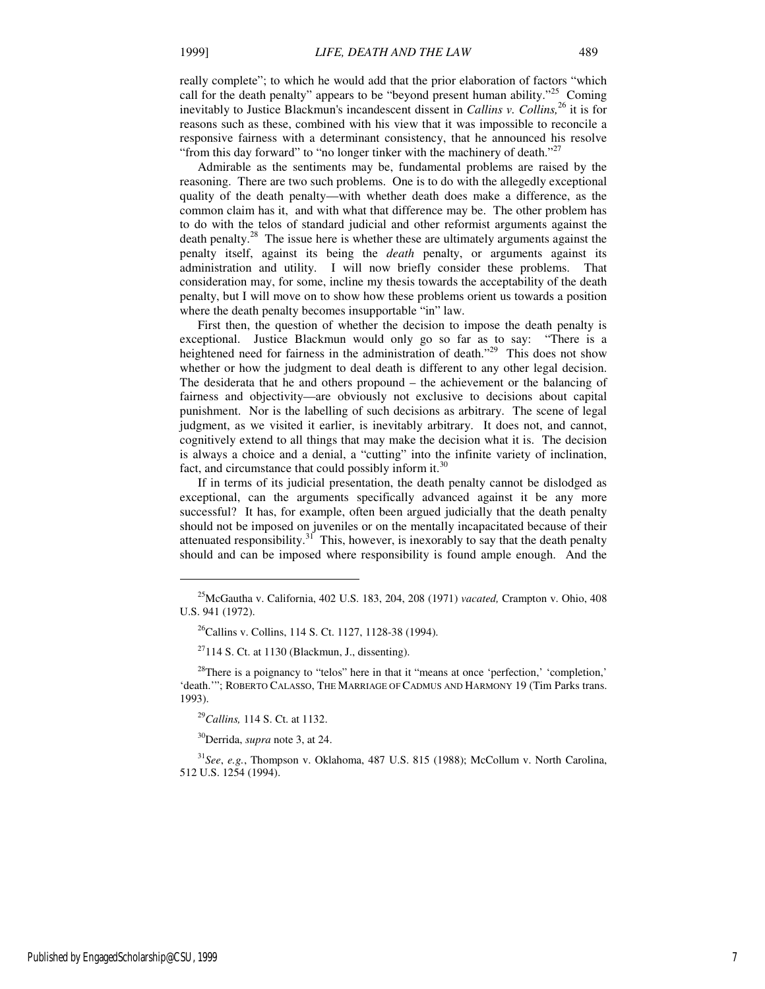really complete"; to which he would add that the prior elaboration of factors "which call for the death penalty" appears to be "beyond present human ability."<sup>25</sup> Coming inevitably to Justice Blackmun's incandescent dissent in *Callins v. Collins*,<sup>26</sup> it is for reasons such as these, combined with his view that it was impossible to reconcile a responsive fairness with a determinant consistency, that he announced his resolve "from this day forward" to "no longer tinker with the machinery of death."<sup>27</sup>

Admirable as the sentiments may be, fundamental problems are raised by the reasoning. There are two such problems. One is to do with the allegedly exceptional quality of the death penalty—with whether death does make a difference, as the common claim has it, and with what that difference may be. The other problem has to do with the telos of standard judicial and other reformist arguments against the death penalty.<sup>28</sup> The issue here is whether these are ultimately arguments against the penalty itself, against its being the *death* penalty, or arguments against its administration and utility. I will now briefly consider these problems. That consideration may, for some, incline my thesis towards the acceptability of the death penalty, but I will move on to show how these problems orient us towards a position where the death penalty becomes insupportable "in" law.

First then, the question of whether the decision to impose the death penalty is exceptional. Justice Blackmun would only go so far as to say: "There is a heightened need for fairness in the administration of death."<sup>29</sup> This does not show whether or how the judgment to deal death is different to any other legal decision. The desiderata that he and others propound – the achievement or the balancing of fairness and objectivity—are obviously not exclusive to decisions about capital punishment. Nor is the labelling of such decisions as arbitrary. The scene of legal judgment, as we visited it earlier, is inevitably arbitrary. It does not, and cannot, cognitively extend to all things that may make the decision what it is. The decision is always a choice and a denial, a "cutting" into the infinite variety of inclination, fact, and circumstance that could possibly inform it.<sup>30</sup>

If in terms of its judicial presentation, the death penalty cannot be dislodged as exceptional, can the arguments specifically advanced against it be any more successful? It has, for example, often been argued judicially that the death penalty should not be imposed on juveniles or on the mentally incapacitated because of their attenuated responsibility. $3^1$  This, however, is inexorably to say that the death penalty should and can be imposed where responsibility is found ample enough. And the

<sup>29</sup>*Callins,* 114 S. Ct. at 1132.

j

<sup>30</sup>Derrida, *supra* note 3, at 24.

<sup>31</sup>*See*, *e.g.*, Thompson v. Oklahoma, 487 U.S. 815 (1988); McCollum v. North Carolina, 512 U.S. 1254 (1994).

<sup>25</sup>McGautha v. California, 402 U.S. 183, 204, 208 (1971) *vacated,* Crampton v. Ohio, 408 U.S. 941 (1972).

<sup>26</sup>Callins v. Collins, 114 S. Ct. 1127, 1128-38 (1994).

 $27114$  S. Ct. at 1130 (Blackmun, J., dissenting).

<sup>&</sup>lt;sup>28</sup>There is a poignancy to "telos" here in that it "means at once 'perfection,' 'completion,' 'death.'"; ROBERTO CALASSO, THE MARRIAGE OF CADMUS AND HARMONY 19 (Tim Parks trans. 1993).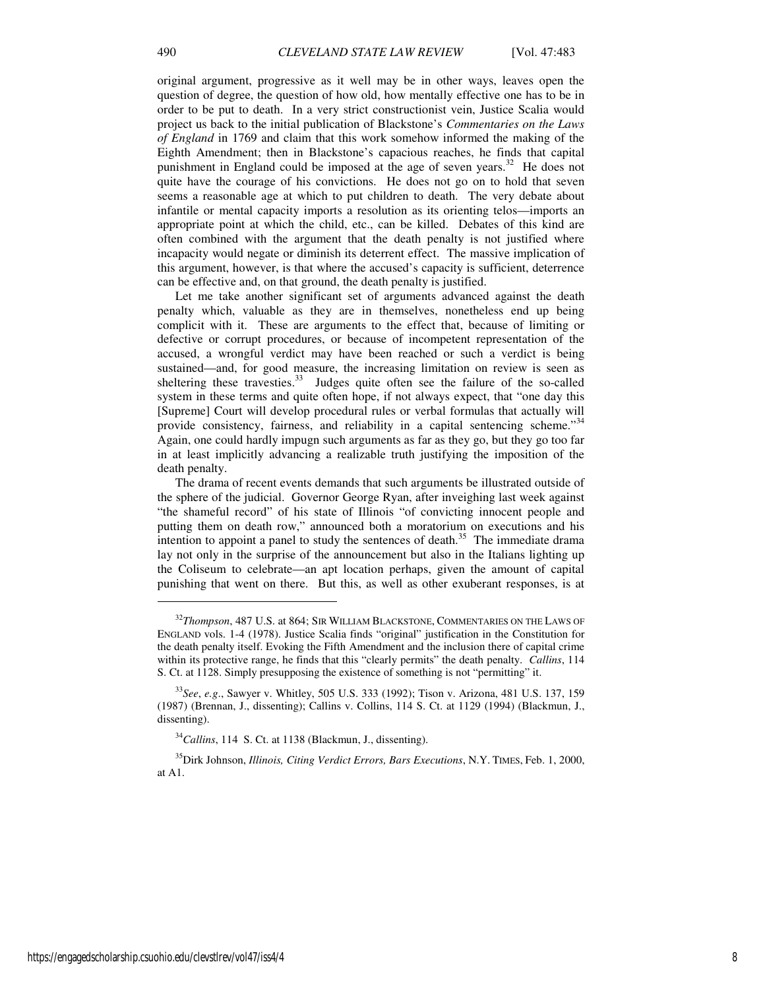original argument, progressive as it well may be in other ways, leaves open the question of degree, the question of how old, how mentally effective one has to be in order to be put to death. In a very strict constructionist vein, Justice Scalia would project us back to the initial publication of Blackstone's *Commentaries on the Laws of England* in 1769 and claim that this work somehow informed the making of the Eighth Amendment; then in Blackstone's capacious reaches, he finds that capital punishment in England could be imposed at the age of seven years.<sup>32</sup> He does not quite have the courage of his convictions. He does not go on to hold that seven seems a reasonable age at which to put children to death. The very debate about infantile or mental capacity imports a resolution as its orienting telos—imports an appropriate point at which the child, etc., can be killed. Debates of this kind are often combined with the argument that the death penalty is not justified where incapacity would negate or diminish its deterrent effect. The massive implication of this argument, however, is that where the accused's capacity is sufficient, deterrence can be effective and, on that ground, the death penalty is justified.

Let me take another significant set of arguments advanced against the death penalty which, valuable as they are in themselves, nonetheless end up being complicit with it. These are arguments to the effect that, because of limiting or defective or corrupt procedures, or because of incompetent representation of the accused, a wrongful verdict may have been reached or such a verdict is being sustained—and, for good measure, the increasing limitation on review is seen as sheltering these travesties.<sup>33</sup> Judges quite often see the failure of the so-called system in these terms and quite often hope, if not always expect, that "one day this [Supreme] Court will develop procedural rules or verbal formulas that actually will provide consistency, fairness, and reliability in a capital sentencing scheme."<sup>34</sup> Again, one could hardly impugn such arguments as far as they go, but they go too far in at least implicitly advancing a realizable truth justifying the imposition of the death penalty.

The drama of recent events demands that such arguments be illustrated outside of the sphere of the judicial. Governor George Ryan, after inveighing last week against "the shameful record" of his state of Illinois "of convicting innocent people and putting them on death row," announced both a moratorium on executions and his intention to appoint a panel to study the sentences of death.<sup>35</sup> The immediate drama lay not only in the surprise of the announcement but also in the Italians lighting up the Coliseum to celebrate—an apt location perhaps, given the amount of capital punishing that went on there. But this, as well as other exuberant responses, is at

<sup>32</sup>*Thompson*, 487 U.S. at 864; SIR WILLIAM BLACKSTONE, COMMENTARIES ON THE LAWS OF ENGLAND vols. 1-4 (1978). Justice Scalia finds "original" justification in the Constitution for the death penalty itself. Evoking the Fifth Amendment and the inclusion there of capital crime within its protective range, he finds that this "clearly permits" the death penalty. *Callins*, 114 S. Ct. at 1128. Simply presupposing the existence of something is not "permitting" it.

<sup>33</sup>*See*, *e.g*., Sawyer v. Whitley, 505 U.S. 333 (1992); Tison v. Arizona, 481 U.S. 137, 159 (1987) (Brennan, J., dissenting); Callins v. Collins, 114 S. Ct. at 1129 (1994) (Blackmun, J., dissenting).

<sup>&</sup>lt;sup>34</sup>Callins, 114 S. Ct. at 1138 (Blackmun, J., dissenting).

<sup>35</sup>Dirk Johnson, *Illinois, Citing Verdict Errors, Bars Executions*, N.Y. TIMES, Feb. 1, 2000, at A1.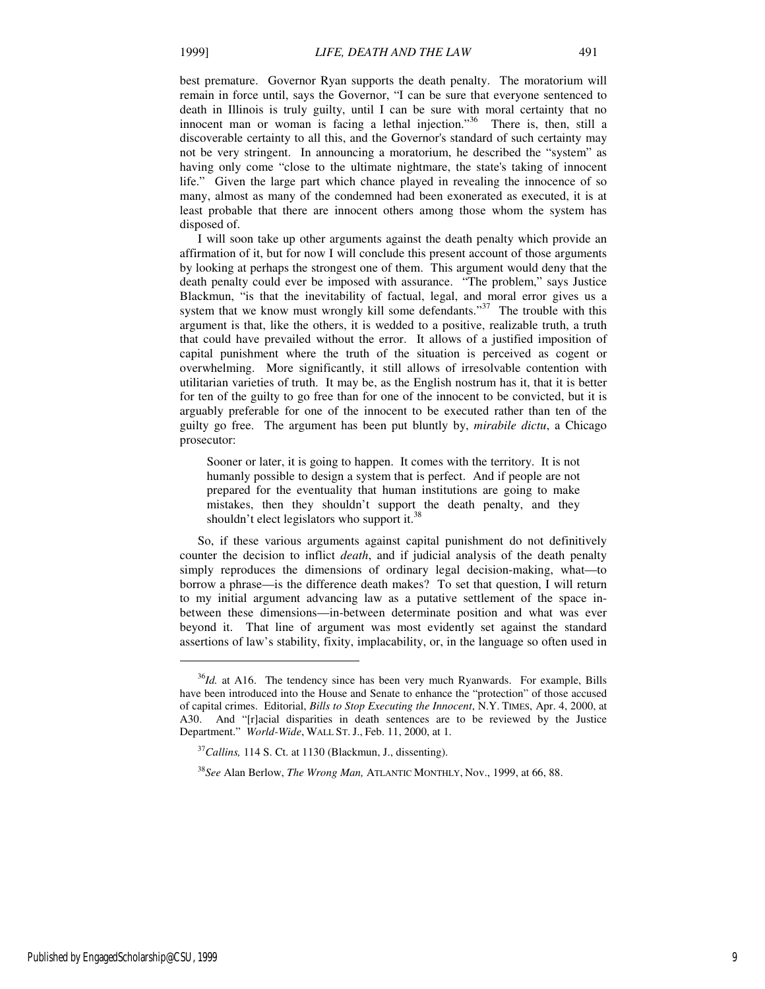best premature. Governor Ryan supports the death penalty. The moratorium will remain in force until, says the Governor, "I can be sure that everyone sentenced to death in Illinois is truly guilty, until I can be sure with moral certainty that no innocent man or woman is facing a lethal injection."<sup>36</sup> There is, then, still a discoverable certainty to all this, and the Governor's standard of such certainty may not be very stringent. In announcing a moratorium, he described the "system" as having only come "close to the ultimate nightmare, the state's taking of innocent life." Given the large part which chance played in revealing the innocence of so many, almost as many of the condemned had been exonerated as executed, it is at least probable that there are innocent others among those whom the system has disposed of.

I will soon take up other arguments against the death penalty which provide an affirmation of it, but for now I will conclude this present account of those arguments by looking at perhaps the strongest one of them. This argument would deny that the death penalty could ever be imposed with assurance. "The problem," says Justice Blackmun, "is that the inevitability of factual, legal, and moral error gives us a system that we know must wrongly kill some defendants."<sup>37</sup> The trouble with this argument is that, like the others, it is wedded to a positive, realizable truth, a truth that could have prevailed without the error. It allows of a justified imposition of capital punishment where the truth of the situation is perceived as cogent or overwhelming. More significantly, it still allows of irresolvable contention with utilitarian varieties of truth. It may be, as the English nostrum has it, that it is better for ten of the guilty to go free than for one of the innocent to be convicted, but it is arguably preferable for one of the innocent to be executed rather than ten of the guilty go free. The argument has been put bluntly by, *mirabile dictu*, a Chicago prosecutor:

Sooner or later, it is going to happen. It comes with the territory. It is not humanly possible to design a system that is perfect. And if people are not prepared for the eventuality that human institutions are going to make mistakes, then they shouldn't support the death penalty, and they shouldn't elect legislators who support it.<sup>38</sup>

So, if these various arguments against capital punishment do not definitively counter the decision to inflict *death*, and if judicial analysis of the death penalty simply reproduces the dimensions of ordinary legal decision-making, what—to borrow a phrase—is the difference death makes? To set that question, I will return to my initial argument advancing law as a putative settlement of the space inbetween these dimensions—in-between determinate position and what was ever beyond it. That line of argument was most evidently set against the standard assertions of law's stability, fixity, implacability, or, in the language so often used in

1

<sup>&</sup>lt;sup>36</sup>Id. at A16. The tendency since has been very much Ryanwards. For example, Bills have been introduced into the House and Senate to enhance the "protection" of those accused of capital crimes. Editorial, *Bills to Stop Executing the Innocent*, N.Y. TIMES, Apr. 4, 2000, at A30. And "[r]acial disparities in death sentences are to be reviewed by the Justice Department." *World-Wide*, WALL ST. J., Feb. 11, 2000, at 1.

<sup>37</sup>*Callins,* 114 S. Ct. at 1130 (Blackmun, J., dissenting).

<sup>38</sup>*See* Alan Berlow, *The Wrong Man,* ATLANTIC MONTHLY, Nov., 1999, at 66, 88.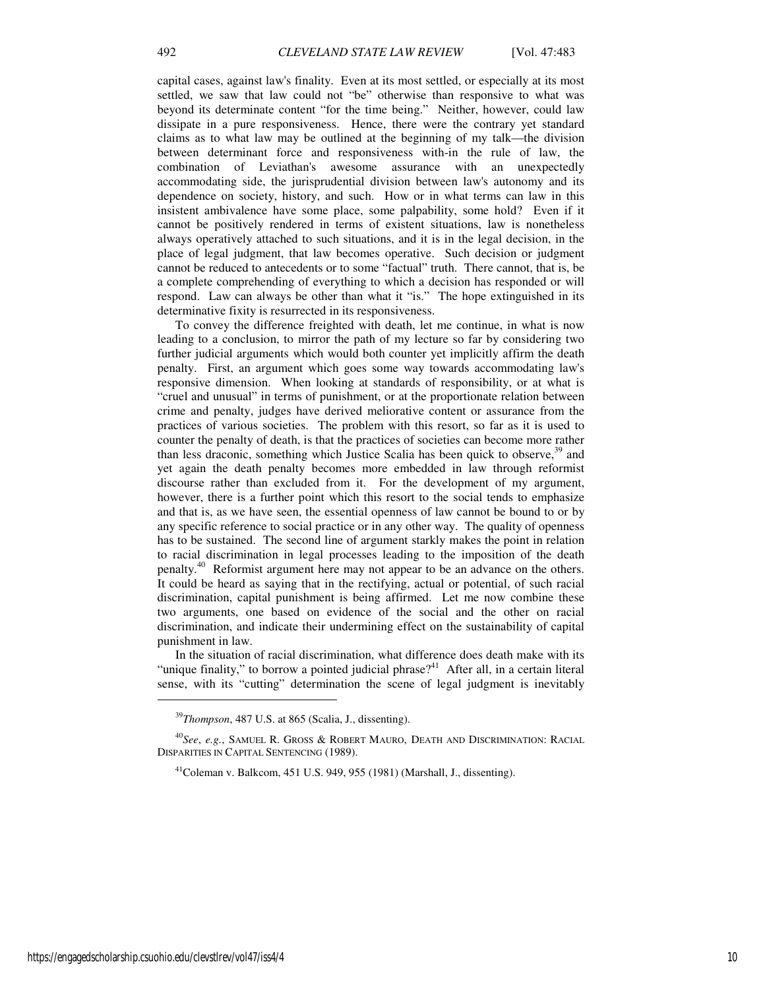capital cases, against law's finality. Even at its most settled, or especially at its most settled, we saw that law could not "be" otherwise than responsive to what was beyond its determinate content "for the time being." Neither, however, could law dissipate in a pure responsiveness. Hence, there were the contrary yet standard claims as to what law may be outlined at the beginning of my talk—the division between determinant force and responsiveness with-in the rule of law, the combination of Leviathan's awesome assurance with an unexpectedly accommodating side, the jurisprudential division between law's autonomy and its dependence on society, history, and such. How or in what terms can law in this insistent ambivalence have some place, some palpability, some hold? Even if it cannot be positively rendered in terms of existent situations, law is nonetheless always operatively attached to such situations, and it is in the legal decision, in the place of legal judgment, that law becomes operative. Such decision or judgment cannot be reduced to antecedents or to some "factual" truth. There cannot, that is, be a complete comprehending of everything to which a decision has responded or will respond. Law can always be other than what it "is." The hope extinguished in its determinative fixity is resurrected in its responsiveness.

To convey the difference freighted with death, let me continue, in what is now leading to a conclusion, to mirror the path of my lecture so far by considering two further judicial arguments which would both counter yet implicitly affirm the death penalty. First, an argument which goes some way towards accommodating law's responsive dimension. When looking at standards of responsibility, or at what is "cruel and unusual" in terms of punishment, or at the proportionate relation between crime and penalty, judges have derived meliorative content or assurance from the practices of various societies. The problem with this resort, so far as it is used to counter the penalty of death, is that the practices of societies can become more rather than less draconic, something which Justice Scalia has been quick to observe, $39$  and yet again the death penalty becomes more embedded in law through reformist discourse rather than excluded from it. For the development of my argument, however, there is a further point which this resort to the social tends to emphasize and that is, as we have seen, the essential openness of law cannot be bound to or by any specific reference to social practice or in any other way. The quality of openness has to be sustained. The second line of argument starkly makes the point in relation to racial discrimination in legal processes leading to the imposition of the death penalty.<sup>40</sup> Reformist argument here may not appear to be an advance on the others. It could be heard as saying that in the rectifying, actual or potential, of such racial discrimination, capital punishment is being affirmed. Let me now combine these two arguments, one based on evidence of the social and the other on racial discrimination, and indicate their undermining effect on the sustainability of capital punishment in law.

In the situation of racial discrimination, what difference does death make with its "unique finality," to borrow a pointed judicial phrase?<sup>41</sup> After all, in a certain literal sense, with its "cutting" determination the scene of legal judgment is inevitably

<sup>39</sup>*Thompson*, 487 U.S. at 865 (Scalia, J., dissenting).

<sup>40</sup>*See*, *e.g.*, SAMUEL R. GROSS & ROBERT MAURO, DEATH AND DISCRIMINATION: RACIAL DISPARITIES IN CAPITAL SENTENCING (1989).

 $^{41}$ Coleman v. Balkcom, 451 U.S. 949, 955 (1981) (Marshall, J., dissenting).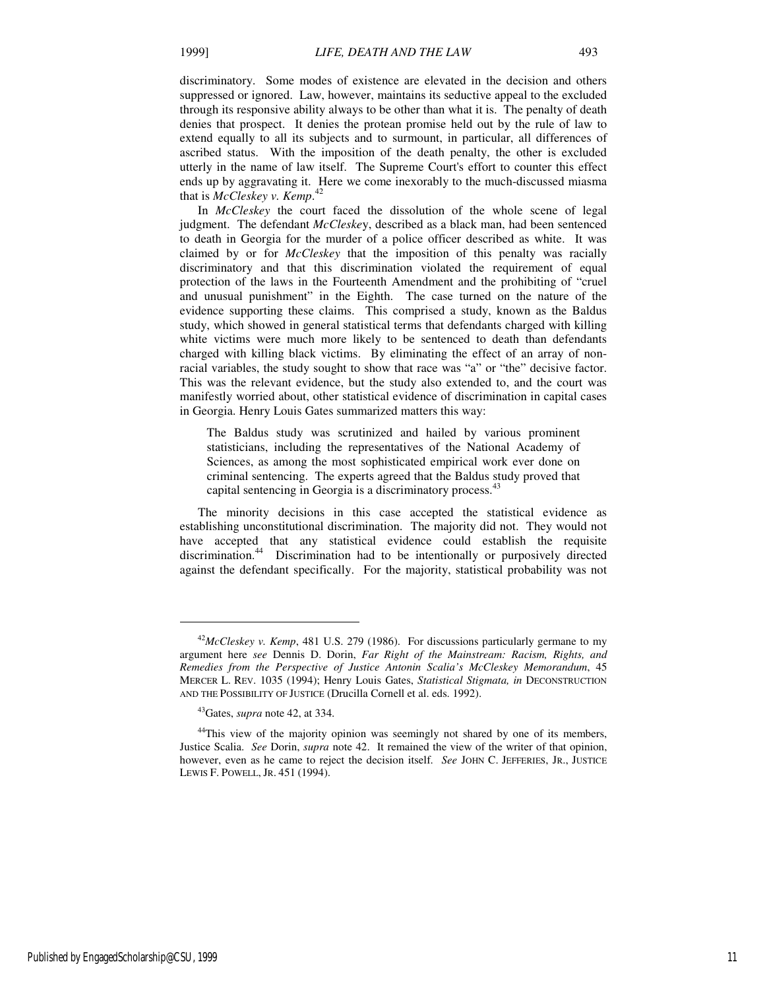discriminatory. Some modes of existence are elevated in the decision and others suppressed or ignored. Law, however, maintains its seductive appeal to the excluded through its responsive ability always to be other than what it is. The penalty of death denies that prospect. It denies the protean promise held out by the rule of law to extend equally to all its subjects and to surmount, in particular, all differences of ascribed status. With the imposition of the death penalty, the other is excluded utterly in the name of law itself. The Supreme Court's effort to counter this effect ends up by aggravating it. Here we come inexorably to the much-discussed miasma that is *McCleskey v. Kemp*. 42

In *McCleskey* the court faced the dissolution of the whole scene of legal judgment. The defendant *McCleske*y, described as a black man, had been sentenced to death in Georgia for the murder of a police officer described as white. It was claimed by or for *McCleskey* that the imposition of this penalty was racially discriminatory and that this discrimination violated the requirement of equal protection of the laws in the Fourteenth Amendment and the prohibiting of "cruel and unusual punishment" in the Eighth. The case turned on the nature of the evidence supporting these claims. This comprised a study, known as the Baldus study, which showed in general statistical terms that defendants charged with killing white victims were much more likely to be sentenced to death than defendants charged with killing black victims. By eliminating the effect of an array of nonracial variables, the study sought to show that race was "a" or "the" decisive factor. This was the relevant evidence, but the study also extended to, and the court was manifestly worried about, other statistical evidence of discrimination in capital cases in Georgia. Henry Louis Gates summarized matters this way:

The Baldus study was scrutinized and hailed by various prominent statisticians, including the representatives of the National Academy of Sciences, as among the most sophisticated empirical work ever done on criminal sentencing. The experts agreed that the Baldus study proved that capital sentencing in Georgia is a discriminatory process.<sup>43</sup>

The minority decisions in this case accepted the statistical evidence as establishing unconstitutional discrimination. The majority did not. They would not have accepted that any statistical evidence could establish the requisite discrimination.<sup>44</sup> Discrimination had to be intentionally or purposively directed against the defendant specifically. For the majority, statistical probability was not

 $\overline{a}$ 

<sup>&</sup>lt;sup>42</sup>*McCleskey v. Kemp*, 481 U.S. 279 (1986). For discussions particularly germane to my argument here *see* Dennis D. Dorin, *Far Right of the Mainstream: Racism, Rights, and Remedies from the Perspective of Justice Antonin Scalia's McCleskey Memorandum*, 45 MERCER L. REV. 1035 (1994); Henry Louis Gates, *Statistical Stigmata, in* DECONSTRUCTION AND THE POSSIBILITY OF JUSTICE (Drucilla Cornell et al. eds. 1992).

<sup>43</sup>Gates, *supra* note 42, at 334.

<sup>&</sup>lt;sup>44</sup>This view of the majority opinion was seemingly not shared by one of its members, Justice Scalia. *See* Dorin, *supra* note 42. It remained the view of the writer of that opinion, however, even as he came to reject the decision itself. *See* JOHN C. JEFFERIES, JR., JUSTICE LEWIS F. POWELL, JR. 451 (1994).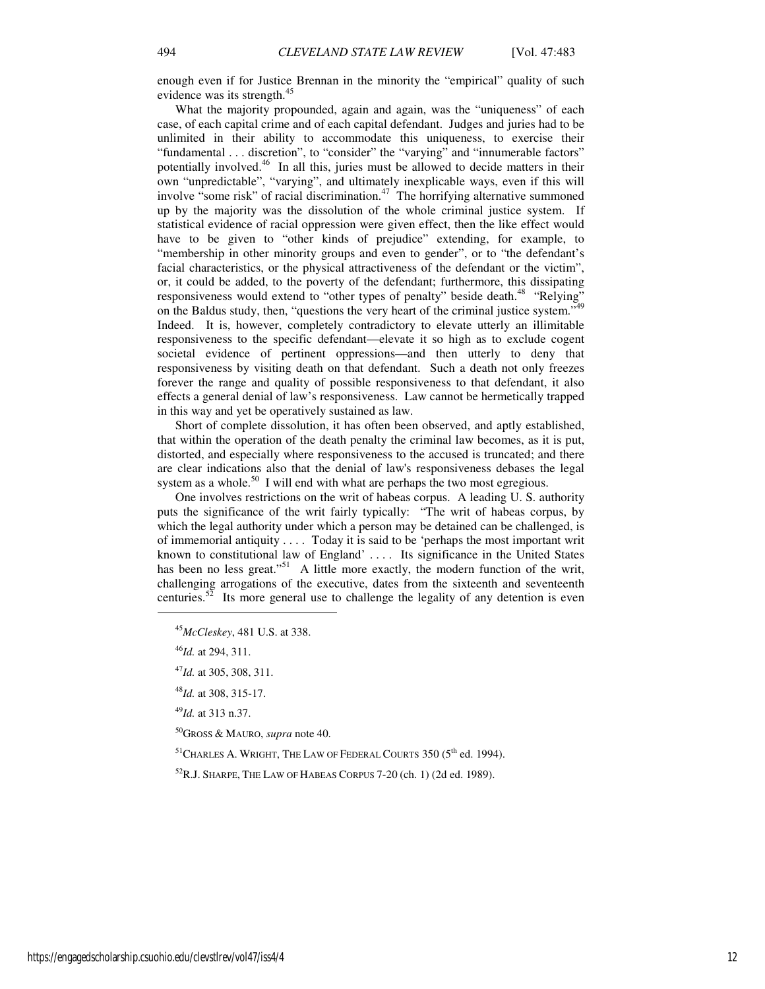enough even if for Justice Brennan in the minority the "empirical" quality of such evidence was its strength.<sup>45</sup>

What the majority propounded, again and again, was the "uniqueness" of each case, of each capital crime and of each capital defendant. Judges and juries had to be unlimited in their ability to accommodate this uniqueness, to exercise their "fundamental . . . discretion", to "consider" the "varying" and "innumerable factors" potentially involved.<sup>46</sup> In all this, juries must be allowed to decide matters in their own "unpredictable", "varying", and ultimately inexplicable ways, even if this will involve "some risk" of racial discrimination. $47$  The horrifying alternative summoned up by the majority was the dissolution of the whole criminal justice system. If statistical evidence of racial oppression were given effect, then the like effect would have to be given to "other kinds of prejudice" extending, for example, to "membership in other minority groups and even to gender", or to "the defendant's facial characteristics, or the physical attractiveness of the defendant or the victim", or, it could be added, to the poverty of the defendant; furthermore, this dissipating responsiveness would extend to "other types of penalty" beside death.<sup>48</sup> "Relying" on the Baldus study, then, "questions the very heart of the criminal justice system."<sup>49</sup> Indeed. It is, however, completely contradictory to elevate utterly an illimitable responsiveness to the specific defendant—elevate it so high as to exclude cogent societal evidence of pertinent oppressions—and then utterly to deny that responsiveness by visiting death on that defendant. Such a death not only freezes forever the range and quality of possible responsiveness to that defendant, it also effects a general denial of law's responsiveness. Law cannot be hermetically trapped in this way and yet be operatively sustained as law.

Short of complete dissolution, it has often been observed, and aptly established, that within the operation of the death penalty the criminal law becomes, as it is put, distorted, and especially where responsiveness to the accused is truncated; and there are clear indications also that the denial of law's responsiveness debases the legal system as a whole.<sup>50</sup> I will end with what are perhaps the two most egregious.

One involves restrictions on the writ of habeas corpus. A leading U. S. authority puts the significance of the writ fairly typically: "The writ of habeas corpus, by which the legal authority under which a person may be detained can be challenged, is of immemorial antiquity . . . . Today it is said to be 'perhaps the most important writ known to constitutional law of England' .... Its significance in the United States has been no less great."<sup>51</sup> A little more exactly, the modern function of the writ, challenging arrogations of the executive, dates from the sixteenth and seventeenth centuries.<sup>52</sup> Its more general use to challenge the legality of any detention is even

j

<sup>50</sup>GROSS & MAURO, *supra* note 40.

 $51$ CHARLES A. WRIGHT, THE LAW OF FEDERAL COURTS 350 ( $5<sup>th</sup>$  ed. 1994).

 ${}^{52}R$ .J. SHARPE, THE LAW OF HABEAS CORPUS 7-20 (ch. 1) (2d ed. 1989).

<sup>45</sup>*McCleskey*, 481 U.S. at 338.

<sup>46</sup>*Id.* at 294, 311.

<sup>47</sup>*Id.* at 305, 308, 311.

<sup>48</sup>*Id.* at 308, 315-17.

<sup>49</sup>*Id.* at 313 n.37.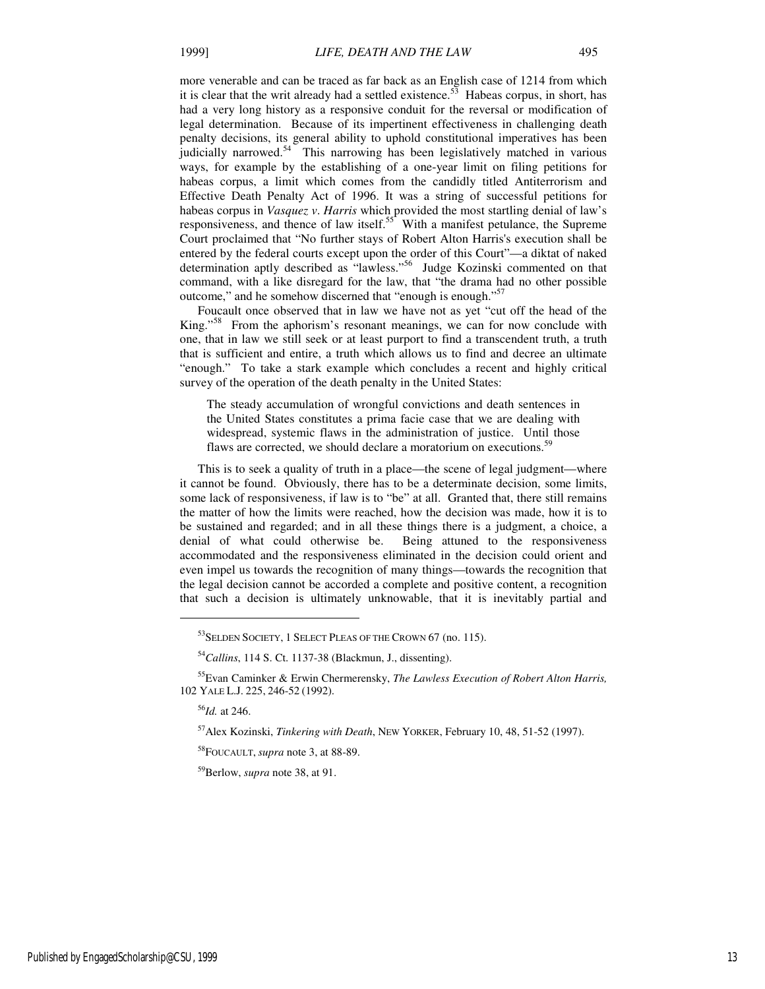more venerable and can be traced as far back as an English case of 1214 from which it is clear that the writ already had a settled existence.<sup>53</sup> Habeas corpus, in short, has had a very long history as a responsive conduit for the reversal or modification of legal determination. Because of its impertinent effectiveness in challenging death penalty decisions, its general ability to uphold constitutional imperatives has been judicially narrowed.<sup>54</sup> This narrowing has been legislatively matched in various ways, for example by the establishing of a one-year limit on filing petitions for habeas corpus, a limit which comes from the candidly titled Antiterrorism and Effective Death Penalty Act of 1996. It was a string of successful petitions for habeas corpus in *Vasquez v*. *Harris* which provided the most startling denial of law's

responsiveness, and thence of law itself. $55<sup>5</sup>$  With a manifest petulance, the Supreme Court proclaimed that "No further stays of Robert Alton Harris's execution shall be entered by the federal courts except upon the order of this Court"—a diktat of naked determination aptly described as "lawless."<sup>56</sup> Judge Kozinski commented on that command, with a like disregard for the law, that "the drama had no other possible outcome," and he somehow discerned that "enough is enough."<sup>57</sup>

Foucault once observed that in law we have not as yet "cut off the head of the King."<sup>58</sup> From the aphorism's resonant meanings, we can for now conclude with one, that in law we still seek or at least purport to find a transcendent truth, a truth that is sufficient and entire, a truth which allows us to find and decree an ultimate "enough." To take a stark example which concludes a recent and highly critical survey of the operation of the death penalty in the United States:

The steady accumulation of wrongful convictions and death sentences in the United States constitutes a prima facie case that we are dealing with widespread, systemic flaws in the administration of justice. Until those flaws are corrected, we should declare a moratorium on executions.<sup>59</sup>

This is to seek a quality of truth in a place—the scene of legal judgment—where it cannot be found. Obviously, there has to be a determinate decision, some limits, some lack of responsiveness, if law is to "be" at all. Granted that, there still remains the matter of how the limits were reached, how the decision was made, how it is to be sustained and regarded; and in all these things there is a judgment, a choice, a denial of what could otherwise be. Being attuned to the responsiveness accommodated and the responsiveness eliminated in the decision could orient and even impel us towards the recognition of many things—towards the recognition that the legal decision cannot be accorded a complete and positive content, a recognition that such a decision is ultimately unknowable, that it is inevitably partial and

<sup>55</sup>Evan Caminker & Erwin Chermerensky, *The Lawless Execution of Robert Alton Harris,*  102 YALE L.J. 225, 246-52 (1992).

<sup>56</sup>*Id.* at 246.

j

<sup>57</sup>Alex Kozinski, *Tinkering with Death*, NEW YORKER, February 10, 48, 51-52 (1997).

<sup>58</sup>FOUCAULT, *supra* note 3, at 88-89.

<sup>59</sup>Berlow, *supra* note 38, at 91.

<sup>53</sup>SELDEN SOCIETY, 1 SELECT PLEAS OF THE CROWN 67 (no. 115).

<sup>54</sup>*Callins*, 114 S. Ct. 1137-38 (Blackmun, J., dissenting).